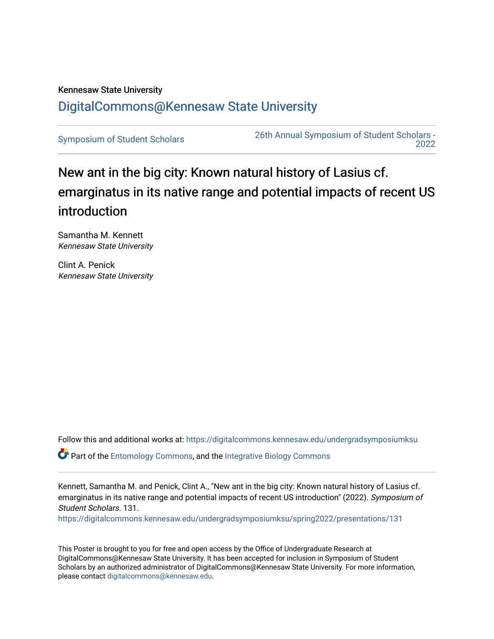## Kennesaw State University [DigitalCommons@Kennesaw State University](https://digitalcommons.kennesaw.edu/)

[Symposium of Student Scholars](https://digitalcommons.kennesaw.edu/undergradsymposiumksu) [26th Annual Symposium of Student Scholars -](https://digitalcommons.kennesaw.edu/undergradsymposiumksu/spring2022)  [2022](https://digitalcommons.kennesaw.edu/undergradsymposiumksu/spring2022) 

## New ant in the big city: Known natural history of Lasius cf. emarginatus in its native range and potential impacts of recent US introduction

Samantha M. Kennett Kennesaw State University

Clint A. Penick Kennesaw State University

Follow this and additional works at: [https://digitalcommons.kennesaw.edu/undergradsymposiumksu](https://digitalcommons.kennesaw.edu/undergradsymposiumksu?utm_source=digitalcommons.kennesaw.edu%2Fundergradsymposiumksu%2Fspring2022%2Fpresentations%2F131&utm_medium=PDF&utm_campaign=PDFCoverPages) 

Part of the [Entomology Commons,](http://network.bepress.com/hgg/discipline/83?utm_source=digitalcommons.kennesaw.edu%2Fundergradsymposiumksu%2Fspring2022%2Fpresentations%2F131&utm_medium=PDF&utm_campaign=PDFCoverPages) and the [Integrative Biology Commons](http://network.bepress.com/hgg/discipline/1302?utm_source=digitalcommons.kennesaw.edu%2Fundergradsymposiumksu%2Fspring2022%2Fpresentations%2F131&utm_medium=PDF&utm_campaign=PDFCoverPages) 

Kennett, Samantha M. and Penick, Clint A., "New ant in the big city: Known natural history of Lasius cf. emarginatus in its native range and potential impacts of recent US introduction" (2022). Symposium of Student Scholars. 131.

[https://digitalcommons.kennesaw.edu/undergradsymposiumksu/spring2022/presentations/131](https://digitalcommons.kennesaw.edu/undergradsymposiumksu/spring2022/presentations/131?utm_source=digitalcommons.kennesaw.edu%2Fundergradsymposiumksu%2Fspring2022%2Fpresentations%2F131&utm_medium=PDF&utm_campaign=PDFCoverPages)

This Poster is brought to you for free and open access by the Office of Undergraduate Research at DigitalCommons@Kennesaw State University. It has been accepted for inclusion in Symposium of Student Scholars by an authorized administrator of DigitalCommons@Kennesaw State University. For more information, please contact [digitalcommons@kennesaw.edu.](mailto:digitalcommons@kennesaw.edu)